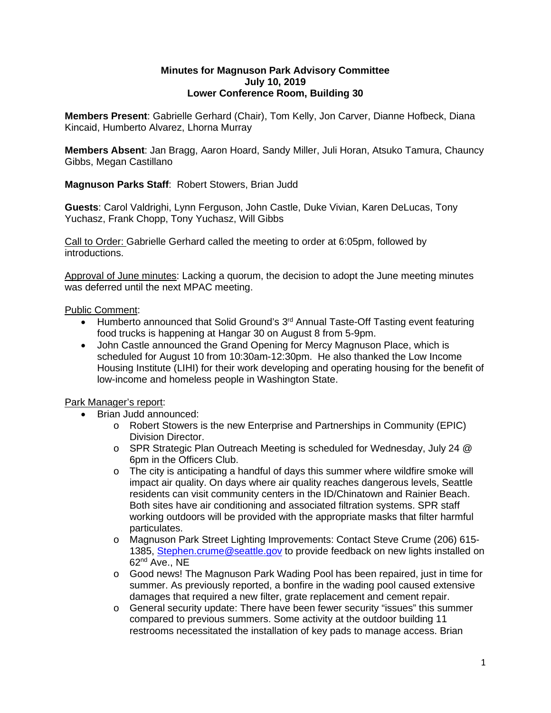## **Minutes for Magnuson Park Advisory Committee July 10, 2019 Lower Conference Room, Building 30**

**Members Present**: Gabrielle Gerhard (Chair), Tom Kelly, Jon Carver, Dianne Hofbeck, Diana Kincaid, Humberto Alvarez, Lhorna Murray

**Members Absent**: Jan Bragg, Aaron Hoard, Sandy Miller, Juli Horan, Atsuko Tamura, Chauncy Gibbs, Megan Castillano

**Magnuson Parks Staff**: Robert Stowers, Brian Judd

**Guests**: Carol Valdrighi, Lynn Ferguson, John Castle, Duke Vivian, Karen DeLucas, Tony Yuchasz, Frank Chopp, Tony Yuchasz, Will Gibbs

Call to Order: Gabrielle Gerhard called the meeting to order at 6:05pm, followed by introductions.

Approval of June minutes: Lacking a quorum, the decision to adopt the June meeting minutes was deferred until the next MPAC meeting.

Public Comment:

- Humberto announced that Solid Ground's 3<sup>rd</sup> Annual Taste-Off Tasting event featuring food trucks is happening at Hangar 30 on August 8 from 5-9pm.
- John Castle announced the Grand Opening for Mercy Magnuson Place, which is scheduled for August 10 from 10:30am-12:30pm. He also thanked the Low Income Housing Institute (LIHI) for their work developing and operating housing for the benefit of low-income and homeless people in Washington State.

## Park Manager's report:

- Brian Judd announced:
	- o Robert Stowers is the new Enterprise and Partnerships in Community (EPIC) Division Director.
	- o SPR Strategic Plan Outreach Meeting is scheduled for Wednesday, July 24 @ 6pm in the Officers Club.
	- $\circ$  The city is anticipating a handful of days this summer where wildfire smoke will impact air quality. On days where air quality reaches dangerous levels, Seattle residents can visit community centers in the ID/Chinatown and Rainier Beach. Both sites have air conditioning and associated filtration systems. SPR staff working outdoors will be provided with the appropriate masks that filter harmful particulates.
	- o Magnuson Park Street Lighting Improvements: Contact Steve Crume (206) 615- 1385, [Stephen.crume@seattle.gov](mailto:Stephen.crume@seattle.gov) to provide feedback on new lights installed on 62nd Ave., NE
	- o Good news! The Magnuson Park Wading Pool has been repaired, just in time for summer. As previously reported, a bonfire in the wading pool caused extensive damages that required a new filter, grate replacement and cement repair.
	- o General security update: There have been fewer security "issues" this summer compared to previous summers. Some activity at the outdoor building 11 restrooms necessitated the installation of key pads to manage access. Brian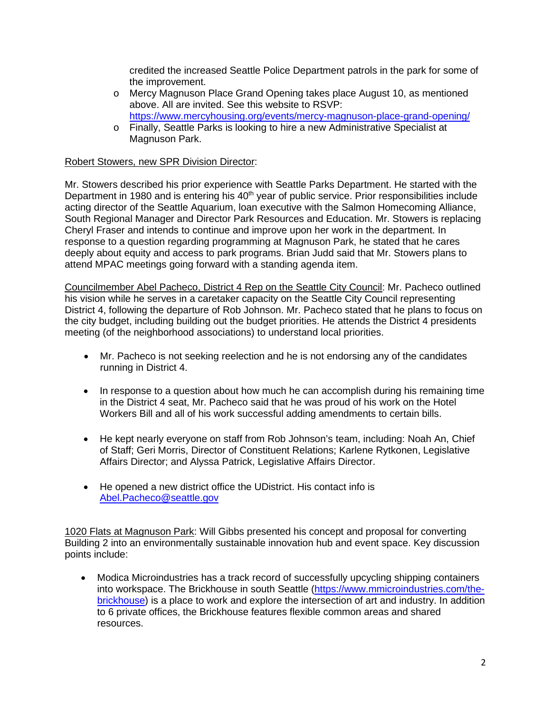credited the increased Seattle Police Department patrols in the park for some of the improvement.

- o Mercy Magnuson Place Grand Opening takes place August 10, as mentioned above. All are invited. See this website to RSVP: <https://www.mercyhousing.org/events/mercy-magnuson-place-grand-opening/>
- o Finally, Seattle Parks is looking to hire a new Administrative Specialist at Magnuson Park.

## Robert Stowers, new SPR Division Director:

Mr. Stowers described his prior experience with Seattle Parks Department. He started with the Department in 1980 and is entering his 40<sup>th</sup> year of public service. Prior responsibilities include acting director of the Seattle Aquarium, loan executive with the Salmon Homecoming Alliance, South Regional Manager and Director Park Resources and Education. Mr. Stowers is replacing Cheryl Fraser and intends to continue and improve upon her work in the department. In response to a question regarding programming at Magnuson Park, he stated that he cares deeply about equity and access to park programs. Brian Judd said that Mr. Stowers plans to attend MPAC meetings going forward with a standing agenda item.

Councilmember Abel Pacheco, District 4 Rep on the Seattle City Council: Mr. Pacheco outlined his vision while he serves in a caretaker capacity on the Seattle City Council representing District 4, following the departure of Rob Johnson. Mr. Pacheco stated that he plans to focus on the city budget, including building out the budget priorities. He attends the District 4 presidents meeting (of the neighborhood associations) to understand local priorities.

- Mr. Pacheco is not seeking reelection and he is not endorsing any of the candidates running in District 4.
- In response to a question about how much he can accomplish during his remaining time in the District 4 seat, Mr. Pacheco said that he was proud of his work on the Hotel Workers Bill and all of his work successful adding amendments to certain bills.
- He kept nearly everyone on staff from Rob Johnson's team, including: Noah An, Chief of Staff; Geri Morris, Director of Constituent Relations; Karlene Rytkonen, Legislative Affairs Director; and Alyssa Patrick, Legislative Affairs Director.
- He opened a new district office the UDistrict. His contact info is [Abel.Pacheco@seattle.gov](mailto:Abel.Pacheco@seattle.gov)

1020 Flats at Magnuson Park: Will Gibbs presented his concept and proposal for converting Building 2 into an environmentally sustainable innovation hub and event space. Key discussion points include:

• Modica Microindustries has a track record of successfully upcycling shipping containers into workspace. The Brickhouse in south Seattle [\(https://www.mmicroindustries.com/the](https://www.mmicroindustries.com/the-brickhouse)[brickhouse\)](https://www.mmicroindustries.com/the-brickhouse) is a place to work and explore the intersection of art and industry. In addition to 6 private offices, the Brickhouse features flexible common areas and shared resources.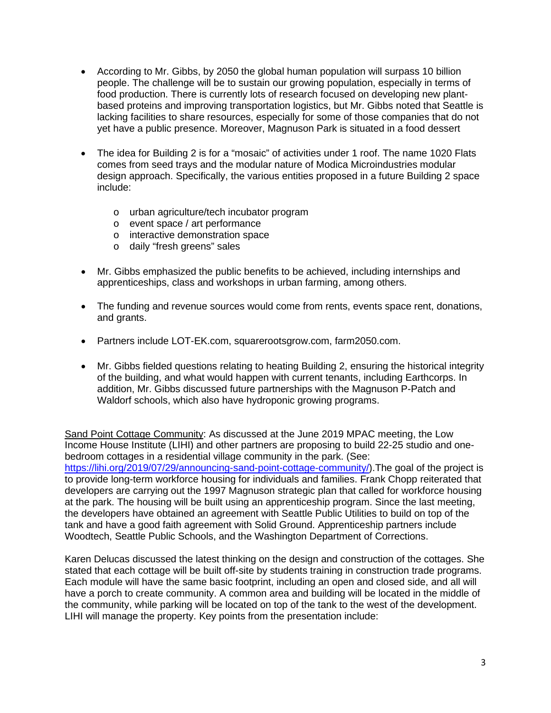- According to Mr. Gibbs, by 2050 the global human population will surpass 10 billion people. The challenge will be to sustain our growing population, especially in terms of food production. There is currently lots of research focused on developing new plantbased proteins and improving transportation logistics, but Mr. Gibbs noted that Seattle is lacking facilities to share resources, especially for some of those companies that do not yet have a public presence. Moreover, Magnuson Park is situated in a food dessert
- The idea for Building 2 is for a "mosaic" of activities under 1 roof. The name 1020 Flats comes from seed trays and the modular nature of Modica Microindustries modular design approach. Specifically, the various entities proposed in a future Building 2 space include:
	- o urban agriculture/tech incubator program
	- o event space / art performance
	- o interactive demonstration space
	- o daily "fresh greens" sales
- Mr. Gibbs emphasized the public benefits to be achieved, including internships and apprenticeships, class and workshops in urban farming, among others.
- The funding and revenue sources would come from rents, events space rent, donations, and grants.
- Partners include LOT-EK.com, squarerootsgrow.com, farm2050.com.
- Mr. Gibbs fielded questions relating to heating Building 2, ensuring the historical integrity of the building, and what would happen with current tenants, including Earthcorps. In addition, Mr. Gibbs discussed future partnerships with the Magnuson P-Patch and Waldorf schools, which also have hydroponic growing programs.

Sand Point Cottage Community: As discussed at the June 2019 MPAC meeting, the Low Income House Institute (LIHI) and other partners are proposing to build 22-25 studio and onebedroom cottages in a residential village community in the park. (See: [https://lihi.org/2019/07/29/announcing-sand-point-cottage-community/\)](https://lihi.org/2019/07/29/announcing-sand-point-cottage-community/).The goal of the project is to provide long-term workforce housing for individuals and families. Frank Chopp reiterated that developers are carrying out the 1997 Magnuson strategic plan that called for workforce housing at the park. The housing will be built using an apprenticeship program. Since the last meeting, the developers have obtained an agreement with Seattle Public Utilities to build on top of the tank and have a good faith agreement with Solid Ground. Apprenticeship partners include Woodtech, Seattle Public Schools, and the Washington Department of Corrections.

Karen Delucas discussed the latest thinking on the design and construction of the cottages. She stated that each cottage will be built off-site by students training in construction trade programs. Each module will have the same basic footprint, including an open and closed side, and all will have a porch to create community. A common area and building will be located in the middle of the community, while parking will be located on top of the tank to the west of the development. LIHI will manage the property. Key points from the presentation include: